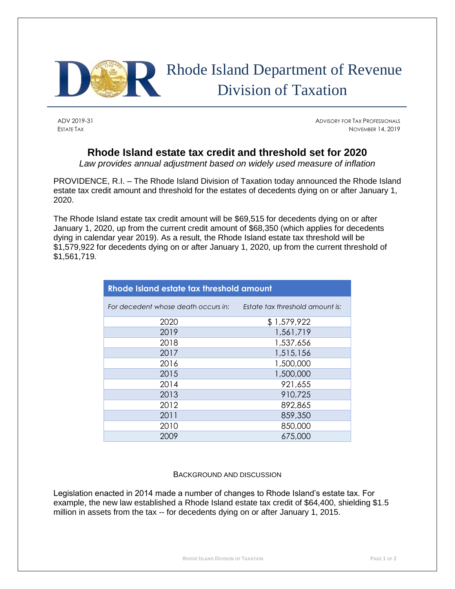

## Rhode Island Department of Revenue Division of Taxation

ADV 2019-31 ADVISORY FOR TAX PROFESSIONALS ESTATE TAX NOVEMBER 14, 2019

## **Rhode Island estate tax credit and threshold set for 2020**

*Law provides annual adjustment based on widely used measure of inflation*

PROVIDENCE, R.I. – The Rhode Island Division of Taxation today announced the Rhode Island estate tax credit amount and threshold for the estates of decedents dying on or after January 1, 2020.

The Rhode Island estate tax credit amount will be \$69,515 for decedents dying on or after January 1, 2020, up from the current credit amount of \$68,350 (which applies for decedents dying in calendar year 2019). As a result, the Rhode Island estate tax threshold will be \$1,579,922 for decedents dying on or after January 1, 2020, up from the current threshold of \$1,561,719.

| Rhode Island estate tax threshold amount |                                 |  |
|------------------------------------------|---------------------------------|--|
| For decedent whose death occurs in:      | Estate tax threshold amount is: |  |
| 2020                                     | \$1,579,922                     |  |
| 2019                                     | 1,561,719                       |  |
| 2018                                     | 1,537,656                       |  |
| 2017                                     | 1,515,156                       |  |
| 2016                                     | 1,500,000                       |  |
| 2015                                     | 1,500,000                       |  |
| 2014                                     | 921,655                         |  |
| 2013                                     | 910,725                         |  |
| 2012                                     | 892,865                         |  |
| 2011                                     | 859,350                         |  |
| 2010                                     | 850,000                         |  |
| 2009                                     | 675,000                         |  |

## BACKGROUND AND DISCUSSION

Legislation enacted in 2014 made a number of changes to Rhode Island's estate tax. For example, the new law established a Rhode Island estate tax credit of \$64,400, shielding \$1.5 million in assets from the tax -- for decedents dying on or after January 1, 2015.